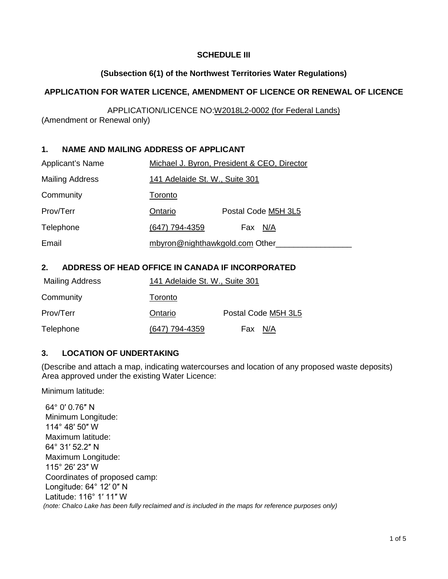### **SCHEDULE III**

### **(Subsection 6(1) of the Northwest Territories Water Regulations)**

### **APPLICATION FOR WATER LICENCE, AMENDMENT OF LICENCE OR RENEWAL OF LICENCE**

APPLICATION/LICENCE NO:W2018L2-0002 (for Federal Lands) (Amendment or Renewal only)

## **1. NAME AND MAILING ADDRESS OF APPLICANT**

| <b>Applicant's Name</b> | Michael J. Byron, President & CEO, Director |                     |  |
|-------------------------|---------------------------------------------|---------------------|--|
| <b>Mailing Address</b>  | 141 Adelaide St. W., Suite 301              |                     |  |
| Community               | Toronto                                     |                     |  |
| Prov/Terr               | Ontario                                     | Postal Code M5H 3L5 |  |
| Telephone               | (647) 794-4359                              | N/A<br>Fax          |  |
| Email                   | mbyron@nighthawkgold.com Other_             |                     |  |

## **2. ADDRESS OF HEAD OFFICE IN CANADA IF INCORPORATED**

| Mailing Address | 141 Adelaide St. W., Suite 301 |                     |
|-----------------|--------------------------------|---------------------|
| Community       | Toronto                        |                     |
| Prov/Terr       | Ontario                        | Postal Code M5H 3L5 |
| Telephone       | (647) 794-4359                 | Fax N/A             |

### **3. LOCATION OF UNDERTAKING**

(Describe and attach a map, indicating watercourses and location of any proposed waste deposits) Area approved under the existing Water Licence:

Minimum latitude:

64° 0′ 0.76″ N Minimum Longitude: 114° 48′ 50″ W Maximum latitude: 64° 31′ 52.2″ N Maximum Longitude: 115° 26′ 23″ W Coordinates of proposed camp: Longitude: 64° 12′ 0″ N Latitude: 116° 1′ 11″ W *(note: Chalco Lake has been fully reclaimed and is included in the maps for reference purposes only)*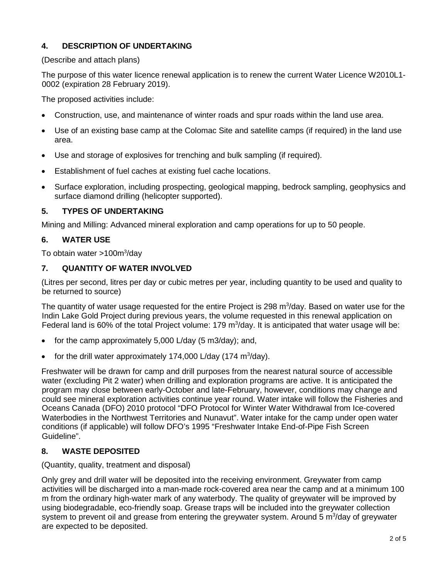# **4. DESCRIPTION OF UNDERTAKING**

#### (Describe and attach plans)

The purpose of this water licence renewal application is to renew the current Water Licence W2010L1- 0002 (expiration 28 February 2019).

The proposed activities include:

- Construction, use, and maintenance of winter roads and spur roads within the land use area.
- Use of an existing base camp at the Colomac Site and satellite camps (if required) in the land use area.
- Use and storage of explosives for trenching and bulk sampling (if required).
- Establishment of fuel caches at existing fuel cache locations.
- Surface exploration, including prospecting, geological mapping, bedrock sampling, geophysics and surface diamond drilling (helicopter supported).

## **5. TYPES OF UNDERTAKING**

Mining and Milling: Advanced mineral exploration and camp operations for up to 50 people.

## **6. WATER USE**

To obtain water >100m<sup>3</sup>/day

## **7. QUANTITY OF WATER INVOLVED**

(Litres per second, litres per day or cubic metres per year, including quantity to be used and quality to be returned to source)

The quantity of water usage requested for the entire Project is 298 m $3/$ day. Based on water use for the Indin Lake Gold Project during previous years, the volume requested in this renewal application on Federal land is 60% of the total Project volume: 179  $m^3$ /day. It is anticipated that water usage will be:

- for the camp approximately 5,000 L/day (5 m3/day); and,
- for the drill water approximately 174,000 L/day (174 m<sup>3</sup>/day).

Freshwater will be drawn for camp and drill purposes from the nearest natural source of accessible water (excluding Pit 2 water) when drilling and exploration programs are active. It is anticipated the program may close between early-October and late-February, however, conditions may change and could see mineral exploration activities continue year round. Water intake will follow the Fisheries and Oceans Canada (DFO) 2010 protocol "DFO Protocol for Winter Water Withdrawal from Ice-covered Waterbodies in the Northwest Territories and Nunavut". Water intake for the camp under open water conditions (if applicable) will follow DFO's 1995 "Freshwater Intake End-of-Pipe Fish Screen Guideline".

## **8. WASTE DEPOSITED**

### (Quantity, quality, treatment and disposal)

Only grey and drill water will be deposited into the receiving environment. Greywater from camp activities will be discharged into a man-made rock-covered area near the camp and at a minimum 100 m from the ordinary high-water mark of any waterbody. The quality of greywater will be improved by using biodegradable, eco-friendly soap. Grease traps will be included into the greywater collection system to prevent oil and grease from entering the greywater system. Around 5  $m^3$ /day of greywater are expected to be deposited.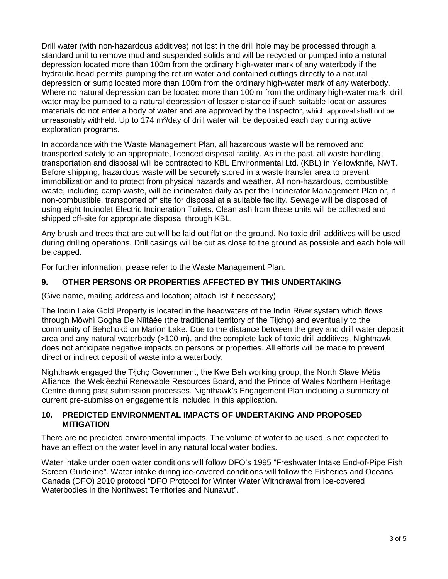Drill water (with non-hazardous additives) not lost in the drill hole may be processed through a standard unit to remove mud and suspended solids and will be recycled or pumped into a natural depression located more than 100m from the ordinary high-water mark of any waterbody if the hydraulic head permits pumping the return water and contained cuttings directly to a natural depression or sump located more than 100m from the ordinary high-water mark of any waterbody. Where no natural depression can be located more than 100 m from the ordinary high-water mark, drill water may be pumped to a natural depression of lesser distance if such suitable location assures materials do not enter a body of water and are approved by the Inspector, which approval shall not be unreasonably withheld. Up to 174 m<sup>3</sup>/day of drill water will be deposited each day during active exploration programs.

In accordance with the Waste Management Plan, all hazardous waste will be removed and transported safely to an appropriate, licenced disposal facility. As in the past, all waste handling, transportation and disposal will be contracted to KBL Environmental Ltd. (KBL) in Yellowknife, NWT. Before shipping, hazardous waste will be securely stored in a waste transfer area to prevent immobilization and to protect from physical hazards and weather. All non-hazardous, combustible waste, including camp waste, will be incinerated daily as per the Incinerator Management Plan or, if non-combustible, transported off site for disposal at a suitable facility. Sewage will be disposed of using eight Incinolet Electric Incineration Toilets. Clean ash from these units will be collected and shipped off-site for appropriate disposal through KBL.

Any brush and trees that are cut will be laid out flat on the ground. No toxic drill additives will be used during drilling operations. Drill casings will be cut as close to the ground as possible and each hole will be capped.

For further information, please refer to the Waste Management Plan.

### **9. OTHER PERSONS OR PROPERTIES AFFECTED BY THIS UNDERTAKING**

(Give name, mailing address and location; attach list if necessary)

The Indin Lake Gold Property is located in the headwaters of the Indin River system which flows through Môwhì Gogha De Nîîtåèe (the traditional territory of the Tłicho) and eventually to the community of Behchokö on Marion Lake. Due to the distance between the grey and drill water deposit area and any natural waterbody (>100 m), and the complete lack of toxic drill additives, Nighthawk does not anticipate negative impacts on persons or properties. All efforts will be made to prevent direct or indirect deposit of waste into a waterbody.

Nighthawk engaged the Tłicho Government, the Kwe Beh working group, the North Slave Métis Alliance, the Wek'èezhìi Renewable Resources Board, and the Prince of Wales Northern Heritage Centre during past submission processes. Nighthawk's Engagement Plan including a summary of current pre-submission engagement is included in this application.

### **10. PREDICTED ENVIRONMENTAL IMPACTS OF UNDERTAKING AND PROPOSED MITIGATION**

There are no predicted environmental impacts. The volume of water to be used is not expected to have an effect on the water level in any natural local water bodies.

Water intake under open water conditions will follow DFO's 1995 "Freshwater Intake End-of-Pipe Fish Screen Guideline". Water intake during ice-covered conditions will follow the Fisheries and Oceans Canada (DFO) 2010 protocol "DFO Protocol for Winter Water Withdrawal from Ice-covered Waterbodies in the Northwest Territories and Nunavut".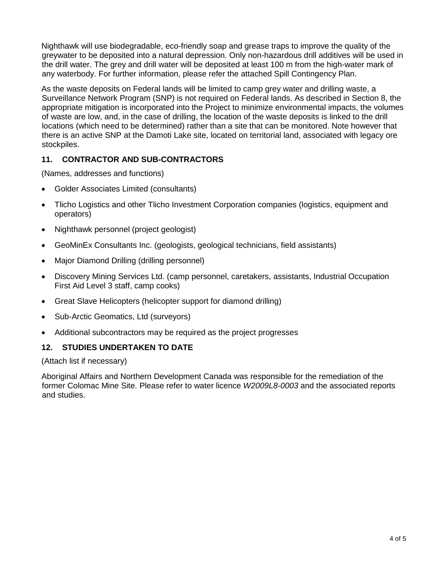Nighthawk will use biodegradable, eco-friendly soap and grease traps to improve the quality of the greywater to be deposited into a natural depression. Only non-hazardous drill additives will be used in the drill water. The grey and drill water will be deposited at least 100 m from the high-water mark of any waterbody. For further information, please refer the attached Spill Contingency Plan.

As the waste deposits on Federal lands will be limited to camp grey water and drilling waste, a Surveillance Network Program (SNP) is not required on Federal lands. As described in Section 8, the appropriate mitigation is incorporated into the Project to minimize environmental impacts, the volumes of waste are low, and, in the case of drilling, the location of the waste deposits is linked to the drill locations (which need to be determined) rather than a site that can be monitored. Note however that there is an active SNP at the Damoti Lake site, located on territorial land, associated with legacy ore stockpiles.

## **11. CONTRACTOR AND SUB-CONTRACTORS**

(Names, addresses and functions)

- Golder Associates Limited (consultants)
- Tlicho Logistics and other Tlicho Investment Corporation companies (logistics, equipment and operators)
- Nighthawk personnel (project geologist)
- GeoMinEx Consultants Inc. (geologists, geological technicians, field assistants)
- Major Diamond Drilling (drilling personnel)
- Discovery Mining Services Ltd. (camp personnel, caretakers, assistants, Industrial Occupation First Aid Level 3 staff, camp cooks)
- Great Slave Helicopters (helicopter support for diamond drilling)
- Sub-Arctic Geomatics, Ltd (surveyors)
- Additional subcontractors may be required as the project progresses

### **12. STUDIES UNDERTAKEN TO DATE**

(Attach list if necessary)

Aboriginal Affairs and Northern Development Canada was responsible for the remediation of the former Colomac Mine Site. Please refer to water licence *W2009L8-0003* and the associated reports and studies.